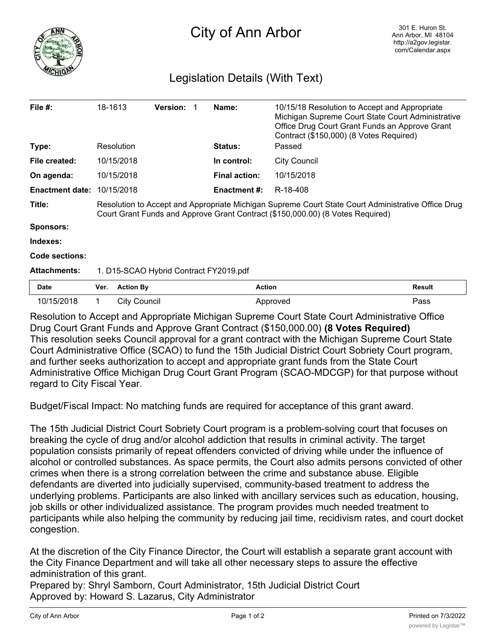

## Legislation Details (With Text)

|                                                                                                                                                                                      |                        |                                                                 |                                        | Name:                |                     |                                                                                                                                                                                                                              |
|--------------------------------------------------------------------------------------------------------------------------------------------------------------------------------------|------------------------|-----------------------------------------------------------------|----------------------------------------|----------------------|---------------------|------------------------------------------------------------------------------------------------------------------------------------------------------------------------------------------------------------------------------|
|                                                                                                                                                                                      |                        |                                                                 |                                        | <b>Status:</b>       | Passed              |                                                                                                                                                                                                                              |
|                                                                                                                                                                                      |                        |                                                                 |                                        | In control:          | <b>City Council</b> |                                                                                                                                                                                                                              |
|                                                                                                                                                                                      |                        |                                                                 |                                        | <b>Final action:</b> | 10/15/2018          |                                                                                                                                                                                                                              |
|                                                                                                                                                                                      |                        |                                                                 |                                        |                      | R-18-408            |                                                                                                                                                                                                                              |
| Resolution to Accept and Appropriate Michigan Supreme Court State Court Administrative Office Drug<br>Court Grant Funds and Approve Grant Contract (\$150,000.00) (8 Votes Required) |                        |                                                                 |                                        |                      |                     |                                                                                                                                                                                                                              |
|                                                                                                                                                                                      |                        |                                                                 |                                        |                      |                     |                                                                                                                                                                                                                              |
|                                                                                                                                                                                      |                        |                                                                 |                                        |                      |                     |                                                                                                                                                                                                                              |
|                                                                                                                                                                                      |                        |                                                                 |                                        |                      |                     |                                                                                                                                                                                                                              |
| 1. D15-SCAO Hybrid Contract FY2019.pdf                                                                                                                                               |                        |                                                                 |                                        |                      |                     |                                                                                                                                                                                                                              |
| Ver.                                                                                                                                                                                 | <b>Action By</b>       |                                                                 |                                        |                      |                     | <b>Result</b>                                                                                                                                                                                                                |
| 1.                                                                                                                                                                                   |                        |                                                                 |                                        |                      |                     | Pass                                                                                                                                                                                                                         |
|                                                                                                                                                                                      | <b>Enactment date:</b> | 18-1613<br>Resolution<br>10/15/2018<br>10/15/2018<br>10/15/2018 | <b>Version:</b><br><b>City Council</b> |                      | Enactment #:        | 10/15/18 Resolution to Accept and Appropriate<br>Michigan Supreme Court State Court Administrative<br>Office Drug Court Grant Funds an Approve Grant<br>Contract (\$150,000) (8 Votes Required)<br><b>Action</b><br>Approved |

Resolution to Accept and Appropriate Michigan Supreme Court State Court Administrative Office Drug Court Grant Funds and Approve Grant Contract (\$150,000.00) **(8 Votes Required)** This resolution seeks Council approval for a grant contract with the Michigan Supreme Court State Court Administrative Office (SCAO) to fund the 15th Judicial District Court Sobriety Court program, and further seeks authorization to accept and appropriate grant funds from the State Court Administrative Office Michigan Drug Court Grant Program (SCAO-MDCGP) for that purpose without regard to City Fiscal Year.

Budget/Fiscal Impact: No matching funds are required for acceptance of this grant award.

The 15th Judicial District Court Sobriety Court program is a problem-solving court that focuses on breaking the cycle of drug and/or alcohol addiction that results in criminal activity. The target population consists primarily of repeat offenders convicted of driving while under the influence of alcohol or controlled substances. As space permits, the Court also admits persons convicted of other crimes when there is a strong correlation between the crime and substance abuse. Eligible defendants are diverted into judicially supervised, community-based treatment to address the underlying problems. Participants are also linked with ancillary services such as education, housing, job skills or other individualized assistance. The program provides much needed treatment to participants while also helping the community by reducing jail time, recidivism rates, and court docket congestion.

At the discretion of the City Finance Director, the Court will establish a separate grant account with the City Finance Department and will take all other necessary steps to assure the effective administration of this grant.

Prepared by: Shryl Samborn, Court Administrator, 15th Judicial District Court Approved by: Howard S. Lazarus, City Administrator